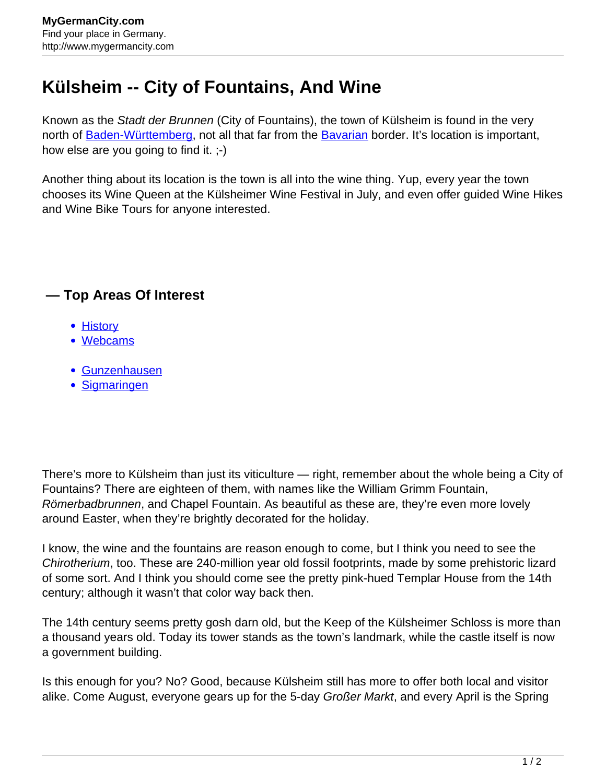## **Külsheim -- City of Fountains, And Wine**

Known as the Stadt der Brunnen (City of Fountains), the town of Külsheim is found in the very north of [Baden-Württemberg,](http://www.mygermancity.com/baden-wuerttemberg) not all that far from the [Bavarian](http://www.mygermancity.com/bavaria) border. It's location is important, how else are you going to find it. ;-)

Another thing about its location is the town is all into the wine thing. Yup, every year the town chooses its Wine Queen at the Külsheimer Wine Festival in July, and even offer guided Wine Hikes and Wine Bike Tours for anyone interested.

## **— Top Areas Of Interest**

- [History](http://www.mygermancity.com/leipzig-history)
- [Webcams](http://www.mygermancity.com/neustadt-holstein-webcams)
- [Gunzenhausen](http://www.mygermancity.com/gunzenhausen)
- [Sigmaringen](http://www.mygermancity.com/sigmaringen)

There's more to Külsheim than just its viticulture — right, remember about the whole being a City of Fountains? There are eighteen of them, with names like the William Grimm Fountain, Römerbadbrunnen, and Chapel Fountain. As beautiful as these are, they're even more lovely around Easter, when they're brightly decorated for the holiday.

I know, the wine and the fountains are reason enough to come, but I think you need to see the Chirotherium, too. These are 240-million year old fossil footprints, made by some prehistoric lizard of some sort. And I think you should come see the pretty pink-hued Templar House from the 14th century; although it wasn't that color way back then.

The 14th century seems pretty gosh darn old, but the Keep of the Külsheimer Schloss is more than a thousand years old. Today its tower stands as the town's landmark, while the castle itself is now a government building.

Is this enough for you? No? Good, because Külsheim still has more to offer both local and visitor alike. Come August, everyone gears up for the 5-day Großer Markt, and every April is the Spring